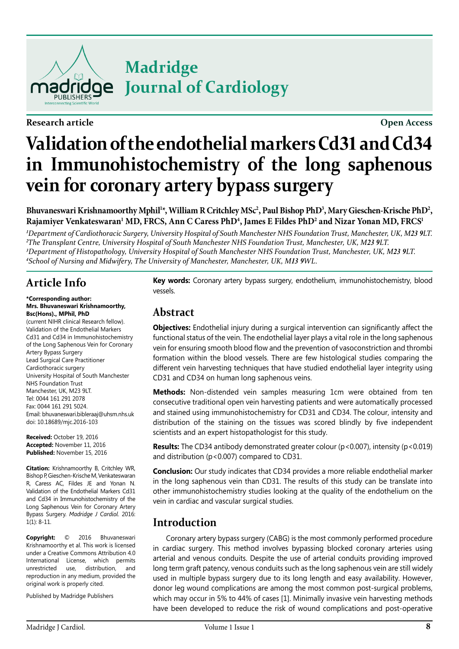

**Research article Open Access**

## **Madridge Journal of Cardiology**

# **Validation of the endothelial markers Cd31 and Cd34 in Immunohistochemistry of the long saphenous vein for coronary artery bypass surgery**

Bhuvaneswari Krishnamoorthy Mphil<sup>1\*</sup>, William R Critchley MSc<sup>2</sup>, Paul Bishop PhD<sup>3</sup>, Mary Gieschen-Krische PhD<sup>2</sup>, **Rajamiyer Venkateswaran1 MD, FRCS, Ann C Caress PhD4 , James E Fildes PhD2 and Nizar Yonan MD, FRCS1**

 *Department of Cardiothoracic Surgery, University Hospital of South Manchester NHS Foundation Trust, Manchester, UK, M23 9LT. The Transplant Centre, University Hospital of South Manchester NHS Foundation Trust, Manchester, UK, M23 9LT. Department of Histopathology, University Hospital of South Manchester NHS Foundation Trust, Manchester, UK, M23 9LT. School of Nursing and Midwifery, The University of Manchester, Manchester, UK, M13 9WL.*

## **Article Info**

#### **\*Corresponding author: Mrs. Bhuvaneswari Krishnamoorthy, Bsc(Hons)., MPhil, PhD**

(current NIHR clinical Research fellow). Validation of the Endothelial Markers Cd31 and Cd34 in Immunohistochemistry of the Long Saphenous Vein for Coronary Artery Bypass Surgery Lead Surgical Care Practitioner Cardiothoracic surgery University Hospital of South Manchester NHS Foundation Trust Manchester, UK, M23 9LT. Tel: 0044 161 291 2078 Fax: 0044 161 291 5024. Email: bhuvaneswari.bibleraaj@uhsm.nhs.uk doi: 10.18689/mjc.2016-103

**Received:** October 19, 2016 **Accepted:** November 11, 2016 **Published:** November 15, 2016

**Citation:** Krishnamoorthy B, Critchley WR, Bishop P, Gieschen-Krische M, Venkateswaran R, Caress AC, Fildes JE and Yonan N. Validation of the Endothelial Markers Cd31 and Cd34 in Immunohistochemistry of the Long Saphenous Vein for Coronary Artery Bypass Surgery. *Madridge J Cardiol*. 2016: 1(1): 8-11.

**Copyright:** © 2016 Bhuvaneswari Krishnamoorthy et al. This work is licensed under a Creative Commons Attribution 4.0 International License, which permits unrestricted use, distribution, and reproduction in any medium, provided the original work is properly cited.

Published by Madridge Publishers

**Key words:** Coronary artery bypass surgery, endothelium, immunohistochemistry, blood vessels.

### **Abstract**

**Objectives:** Endothelial injury during a surgical intervention can significantly affect the functional status of the vein. The endothelial layer plays a vital role in the long saphenous vein for ensuring smooth blood flow and the prevention of vasoconstriction and thrombi formation within the blood vessels. There are few histological studies comparing the different vein harvesting techniques that have studied endothelial layer integrity using CD31 and CD34 on human long saphenous veins.

**Methods:** Non-distended vein samples measuring 1cm were obtained from ten consecutive traditional open vein harvesting patients and were automatically processed and stained using immunohistochemistry for CD31 and CD34. The colour, intensity and distribution of the staining on the tissues was scored blindly by five independent scientists and an expert histopathologist for this study.

**Results:** The CD34 antibody demonstrated greater colour (p<0.007), intensity (p<0.019) and distribution (p<0.007) compared to CD31.

**Conclusion:** Our study indicates that CD34 provides a more reliable endothelial marker in the long saphenous vein than CD31. The results of this study can be translate into other immunohistochemistry studies looking at the quality of the endothelium on the vein in cardiac and vascular surgical studies.

## **Introduction**

Coronary artery bypass surgery (CABG) is the most commonly performed procedure in cardiac surgery. This method involves bypassing blocked coronary arteries using arterial and venous conduits. Despite the use of arterial conduits providing improved long term graft patency, venous conduits such as the long saphenous vein are still widely used in multiple bypass surgery due to its long length and easy availability. However, donor leg wound complications are among the most common post-surgical problems, which may occur in 5% to 44% of cases [[1\]](#page-3-0). Minimally invasive vein harvesting methods have been developed to reduce the risk of wound complications and post-operative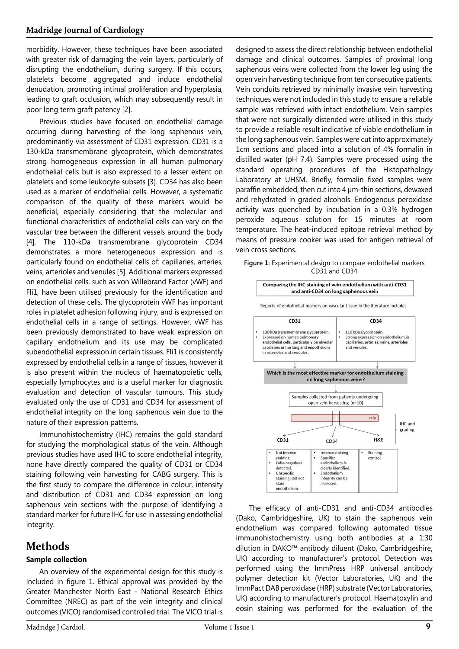morbidity. However, these techniques have been associated with greater risk of damaging the vein layers, particularly of disrupting the endothelium, during surgery. If this occurs, platelets become aggregated and induce endothelial denudation, promoting intimal proliferation and hyperplasia, leading to graft occlusion, which may subsequently result in poor long term graft patency [2].

Previous studies have focused on endothelial damage occurring during harvesting of the long saphenous vein, predominantly via assessment of CD31 expression. CD31 is a 130-kDa transmembrane glycoprotein, which demonstrates strong homogeneous expression in all human pulmonary endothelial cells but is also expressed to a lesser extent on platelets and some leukocyte subsets [3]. CD34 has also been used as a marker of endothelial cells. However, a systematic comparison of the quality of these markers would be beneficial, especially considering that the molecular and functional characteristics of endothelial cells can vary on the vascular tree between the different vessels around the body [4]. The 110-kDa transmembrane glycoprotein CD34 demonstrates a more heterogeneous expression and is particularly found on endothelial cells of: capillaries, arteries, veins, arterioles and venules [5]. Additional markers expressed on endothelial cells, such as von Willebrand Factor (vWF) and Fli1, have been utilised previously for the identification and detection of these cells. The glycoprotein vWF has important roles in platelet adhesion following injury, and is expressed on endothelial cells in a range of settings. However, vWF has been previously demonstrated to have weak expression on capillary endothelium and its use may be complicated subendothelial expression in certain tissues. Fli1 is consistently expressed by endothelial cells in a range of tissues, however it is also present within the nucleus of haematopoietic cells, especially lymphocytes and is a useful marker for diagnostic evaluation and detection of vascular tumours. This study evaluated only the use of CD31 and CD34 for assessment of endothelial integrity on the long saphenous vein due to the nature of their expression patterns.

Immunohistochemistry (IHC) remains the gold standard for studying the morphological status of the vein. Although previous studies have used IHC to score endothelial integrity, none have directly compared the quality of CD31 or CD34 staining following vein harvesting for CABG surgery. This is the first study to compare the difference in colour, intensity and distribution of CD31 and CD34 expression on long saphenous vein sections with the purpose of identifying a standard marker for future IHC for use in assessing endothelial integrity.

## **Methods**

### **Sample collection**

An overview of the experimental design for this study is included in figure 1. Ethical approval was provided by the Greater Manchester North East - National Research Ethics Committee (NREC) as part of the vein integrity and clinical outcomes (VICO) randomised controlled trial. The VICO trial is

designed to assess the direct relationship between endothelial damage and clinical outcomes. Samples of proximal long saphenous veins were collected from the lower leg using the open vein harvesting technique from ten consecutive patients. Vein conduits retrieved by minimally invasive vein harvesting techniques were not included in this study to ensure a reliable sample was retrieved with intact endothelium. Vein samples that were not surgically distended were utilised in this study to provide a reliable result indicative of viable endothelium in the long saphenous vein. Samples were cut into approximately 1cm sections and placed into a solution of 4% formalin in distilled water (pH 7.4). Samples were processed using the standard operating procedures of the Histopathology Laboratory at UHSM. Briefly, formalin fixed samples were paraffin embedded, then cut into 4 µm-thin sections, dewaxed and rehydrated in graded alcohols. Endogenous peroxidase activity was quenched by incubation in a 0.3% hydrogen peroxide aqueous solution for 15 minutes at room temperature. The heat-induced epitope retrieval method by means of pressure cooker was used for antigen retrieval of vein cross sections.

**Figure 1:** Experimental design to compare endothelial markers CD31 and CD34



The efficacy of anti-CD31 and anti-CD34 antibodies (Dako, Cambridgeshire, UK) to stain the saphenous vein endothelium was compared following automated tissue immunohistochemistry using both antibodies at a 1:30 dilution in DAKO™ antibody diluent (Dako, Cambridgeshire, UK) according to manufacturer's protocol. Detection was performed using the ImmPress HRP universal antibody polymer detection kit (Vector Laboratories, UK) and the ImmPact DAB peroxidase (HRP) substrate (Vector Laboratories, UK) according to manufacturer's protocol. Haematoxylin and eosin staining was performed for the evaluation of the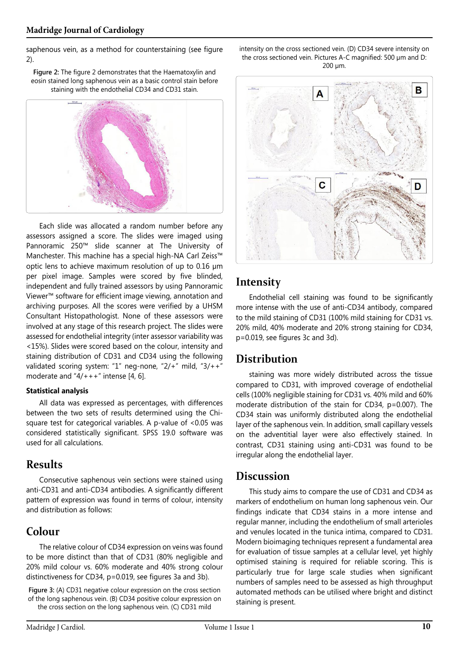saphenous vein, as a method for counterstaining (see figure 2).

**Figure 2:** The figure 2 demonstrates that the Haematoxylin and eosin stained long saphenous vein as a basic control stain before staining with the endothelial CD34 and CD31 stain.



Each slide was allocated a random number before any assessors assigned a score. The slides were imaged using Pannoramic 250™ slide scanner at The University of Manchester. This machine has a special high-NA Carl Zeiss™ optic lens to achieve maximum resolution of up to 0.16 µm per pixel image. Samples were scored by five blinded, independent and fully trained assessors by using Pannoramic Viewer™ software for efficient image viewing, annotation and archiving purposes. All the scores were verified by a UHSM Consultant Histopathologist. None of these assessors were involved at any stage of this research project. The slides were assessed for endothelial integrity (inter assessor variability was <15%). Slides were scored based on the colour, intensity and staining distribution of CD31 and CD34 using the following validated scoring system: "1" neg-none, "2/+" mild, "3/++" moderate and  $4/+++$ " intense [4, 6].

#### **Statistical analysis**

All data was expressed as percentages, with differences between the two sets of results determined using the Chisquare test for categorical variables. A p-value of <0.05 was considered statistically significant. SPSS 19.0 software was used for all calculations.

## **Results**

Consecutive saphenous vein sections were stained using anti-CD31 and anti-CD34 antibodies. A significantly different pattern of expression was found in terms of colour, intensity and distribution as follows:

## **Colour**

The relative colour of CD34 expression on veins was found to be more distinct than that of CD31 (80% negligible and 20% mild colour vs. 60% moderate and 40% strong colour distinctiveness for CD34, p=0.019, see figures 3a and 3b).

**Figure 3:** (A) CD31 negative colour expression on the cross section of the long saphenous vein. (B) CD34 positive colour expression on the cross section on the long saphenous vein. (C) CD31 mild

intensity on the cross sectioned vein. (D) CD34 severe intensity on the cross sectioned vein. Pictures A-C magnified: 500 µm and D: 200 µm.



## **Intensity**

Endothelial cell staining was found to be significantly more intense with the use of anti-CD34 antibody, compared to the mild staining of CD31 (100% mild staining for CD31 vs. 20% mild, 40% moderate and 20% strong staining for CD34, p=0.019, see figures 3c and 3d).

## **Distribution**

staining was more widely distributed across the tissue compared to CD31, with improved coverage of endothelial cells (100% negligible staining for CD31 vs. 40% mild and 60% moderate distribution of the stain for CD34, p=0.007). The CD34 stain was uniformly distributed along the endothelial layer of the saphenous vein. In addition, small capillary vessels on the adventitial layer were also effectively stained. In contrast, CD31 staining using anti-CD31 was found to be irregular along the endothelial layer.

## **Discussion**

This study aims to compare the use of CD31 and CD34 as markers of endothelium on human long saphenous vein. Our findings indicate that CD34 stains in a more intense and regular manner, including the endothelium of small arterioles and venules located in the tunica intima, compared to CD31. Modern bioimaging techniques represent a fundamental area for evaluation of tissue samples at a cellular level, yet highly optimised staining is required for reliable scoring. This is particularly true for large scale studies when significant numbers of samples need to be assessed as high throughput automated methods can be utilised where bright and distinct staining is present.